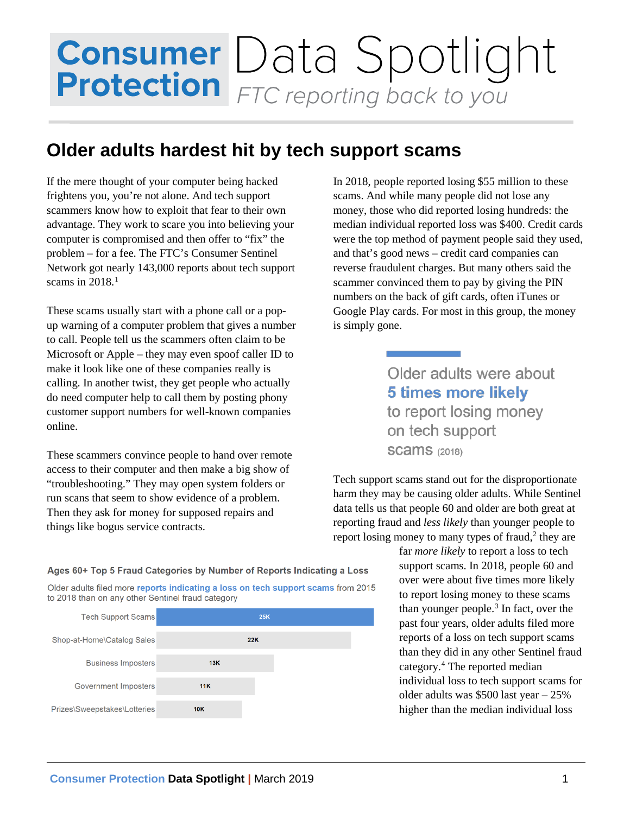## **Consumer** Data Spotlight<br>**Protection** FTC reporting back to you

## **Older adults hardest hit by tech support scams**

If the mere thought of your computer being hacked frightens you, you're not alone. And tech support scammers know how to exploit that fear to their own advantage. They work to scare you into believing your computer is compromised and then offer to "fix" the problem – for a fee. The FTC's Consumer Sentinel Network got nearly 143,000 reports about tech support scams in  $2018$  $2018$  $2018$ <sup>1</sup>

These scams usually start with a phone call or a popup warning of a computer problem that gives a number to call. People tell us the scammers often claim to be Microsoft or Apple – they may even spoof caller ID to make it look like one of these companies really is calling. In another twist, they get people who actually do need computer help to call them by posting phony customer support numbers for well-known companies online.

These scammers convince people to hand over remote access to their computer and then make a big show of "troubleshooting." They may open system folders or run scans that seem to show evidence of a problem. Then they ask for money for supposed repairs and things like bogus service contracts.

In 2018, people reported losing \$55 million to these scams. And while many people did not lose any money, those who did reported losing hundreds: the median individual reported loss was \$400. Credit cards were the top method of payment people said they used, and that's good news – credit card companies can reverse fraudulent charges. But many others said the scammer convinced them to pay by giving the PIN numbers on the back of gift cards, often iTunes or Google Play cards. For most in this group, the money is simply gone.

> Older adults were about **5 times more likely** to report losing money on tech support **SCAMS** (2018)

Tech support scams stand out for the disproportionate harm they may be causing older adults. While Sentinel data tells us that people 60 and older are both great at reporting fraud and *less likely* than younger people to report losing money to many types of fraud, $2$  they are

> far *more likely* to report a loss to tech support scams. In 2018, people 60 and over were about five times more likely to report losing money to these scams than younger people.[3](#page-1-2) In fact, over the past four years, older adults filed more reports of a loss on tech support scams than they did in any other Sentinel fraud category. [4](#page-1-3) The reported median individual loss to tech support scams for older adults was \$500 last year – 25% higher than the median individual loss

Ages 60+ Top 5 Fraud Categories by Number of Reports Indicating a Loss

Older adults filed more reports indicating a loss on tech support scams from 2015 to 2018 than on any other Sentinel fraud category